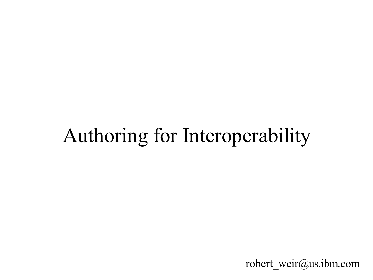### Authoring for Interoperability

robert\_weir@us.ibm.com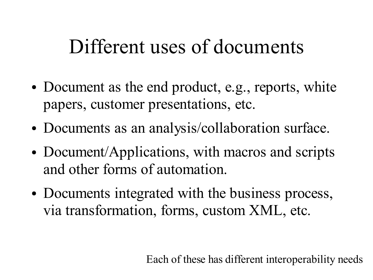#### Different uses of documents

- Document as the end product, e.g., reports, white papers, customer presentations, etc.
- Documents as an analysis/collaboration surface.
- Document/Applications, with macros and scripts and other forms of automation.
- Documents integrated with the business process, via transformation, forms, custom XML, etc.

Each of these has different interoperability needs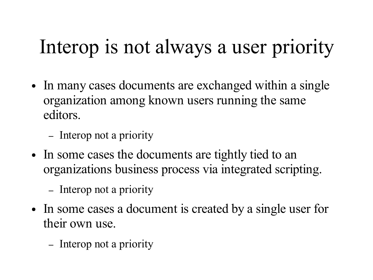# Interop is not always a user priority

- In many cases documents are exchanged within a single organization among known users running the same editors.
	- Interop not a priority
- In some cases the documents are tightly tied to an organizations business process via integrated scripting.
	- Interop not a priority
- In some cases a document is created by a single user for their own use.
	- Interop not a priority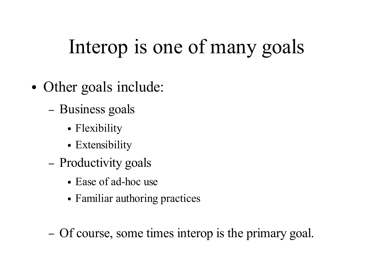# Interop is one of many goals

- Other goals include:
	- Business goals
		- Flexibility
		- Extensibility
	- Productivity goals
		- Ease of ad-hoc use
		- Familiar authoring practices
	- Of course, some times interop is the primary goal.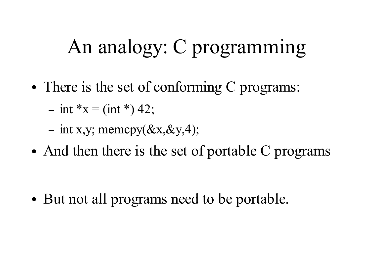#### An analogy: C programming

- There is the set of conforming C programs:
	- $-$  int \*x = (int \*) 42;
	- int x,y; memcpy $(\&x,\&y,4);$
- And then there is the set of portable C programs

• But not all programs need to be portable.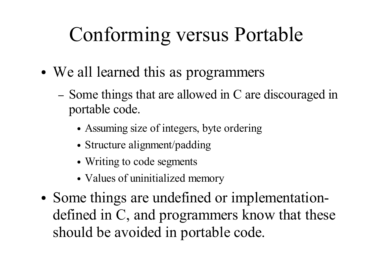# Conforming versus Portable

- We all learned this as programmers
	- Some things that are allowed in C are discouraged in portable code.
		- Assuming size of integers, byte ordering
		- Structure alignment/padding
		- Writing to code segments
		- Values of uninitialized memory
- Some things are undefined or implementationdefined in C, and programmers know that these should be avoided in portable code.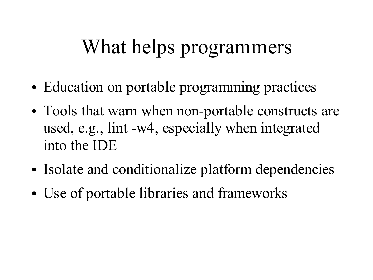### What helps programmers

- Education on portable programming practices
- Tools that warn when non-portable constructs are used, e.g., lint -w4, especially when integrated into the IDE
- Isolate and conditionalize platform dependencies
- Use of portable libraries and frameworks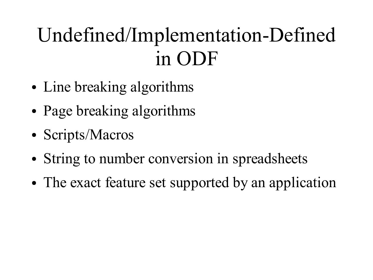# Undefined/Implementation-Defined in ODF

- Line breaking algorithms
- Page breaking algorithms
- Scripts/Macros
- String to number conversion in spreadsheets
- The exact feature set supported by an application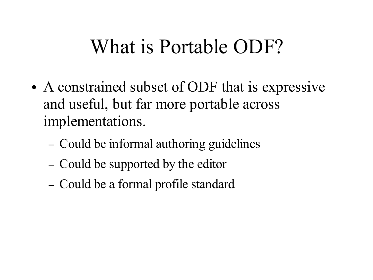#### What is Portable ODF?

- A constrained subset of ODF that is expressive and useful, but far more portable across implementations.
	- Could be informal authoring guidelines
	- Could be supported by the editor
	- Could be a formal profile standard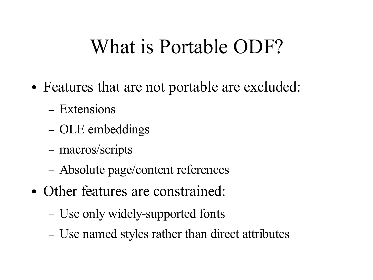#### What is Portable ODF?

- Features that are not portable are excluded:
	- Extensions
	- OLE embeddings
	- macros/scripts
	- Absolute page/content references
- Other features are constrained:
	- Use only widely-supported fonts
	- Use named styles rather than direct attributes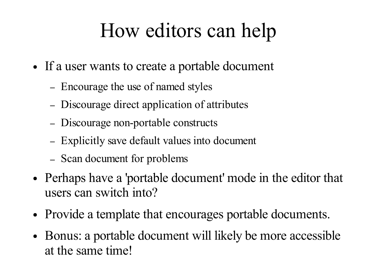### How editors can help

- If a user wants to create a portable document
	- Encourage the use of named styles
	- Discourage direct application of attributes
	- Discourage non-portable constructs
	- Explicitly save default values into document
	- Scan document for problems
- Perhaps have a 'portable document' mode in the editor that users can switch into?
- Provide a template that encourages portable documents.
- Bonus: a portable document will likely be more accessible at the same time!